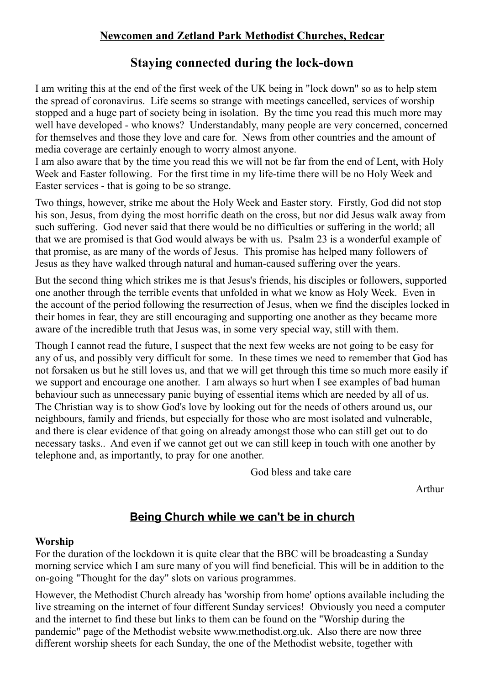# **Newcomen and Zetland Park Methodist Churches, Redcar**

# **Staying connected during the lock-down**

I am writing this at the end of the first week of the UK being in "lock down" so as to help stem the spread of coronavirus. Life seems so strange with meetings cancelled, services of worship stopped and a huge part of society being in isolation. By the time you read this much more may well have developed - who knows? Understandably, many people are very concerned, concerned for themselves and those they love and care for. News from other countries and the amount of media coverage are certainly enough to worry almost anyone.

I am also aware that by the time you read this we will not be far from the end of Lent, with Holy Week and Easter following. For the first time in my life-time there will be no Holy Week and Easter services - that is going to be so strange.

Two things, however, strike me about the Holy Week and Easter story. Firstly, God did not stop his son, Jesus, from dying the most horrific death on the cross, but nor did Jesus walk away from such suffering. God never said that there would be no difficulties or suffering in the world; all that we are promised is that God would always be with us. Psalm 23 is a wonderful example of that promise, as are many of the words of Jesus. This promise has helped many followers of Jesus as they have walked through natural and human-caused suffering over the years.

But the second thing which strikes me is that Jesus's friends, his disciples or followers, supported one another through the terrible events that unfolded in what we know as Holy Week. Even in the account of the period following the resurrection of Jesus, when we find the disciples locked in their homes in fear, they are still encouraging and supporting one another as they became more aware of the incredible truth that Jesus was, in some very special way, still with them.

Though I cannot read the future, I suspect that the next few weeks are not going to be easy for any of us, and possibly very difficult for some. In these times we need to remember that God has not forsaken us but he still loves us, and that we will get through this time so much more easily if we support and encourage one another. I am always so hurt when I see examples of bad human behaviour such as unnecessary panic buying of essential items which are needed by all of us. The Christian way is to show God's love by looking out for the needs of others around us, our neighbours, family and friends, but especially for those who are most isolated and vulnerable, and there is clear evidence of that going on already amongst those who can still get out to do necessary tasks.. And even if we cannot get out we can still keep in touch with one another by telephone and, as importantly, to pray for one another.

God bless and take care

Arthur

# **Being Church while we can't be in church**

#### **Worship**

For the duration of the lockdown it is quite clear that the BBC will be broadcasting a Sunday morning service which I am sure many of you will find beneficial. This will be in addition to the on-going "Thought for the day" slots on various programmes.

However, the Methodist Church already has 'worship from home' options available including the live streaming on the internet of four different Sunday services! Obviously you need a computer and the internet to find these but links to them can be found on the "Worship during the pandemic" page of the Methodist website www.methodist.org.uk. Also there are now three different worship sheets for each Sunday, the one of the Methodist website, together with